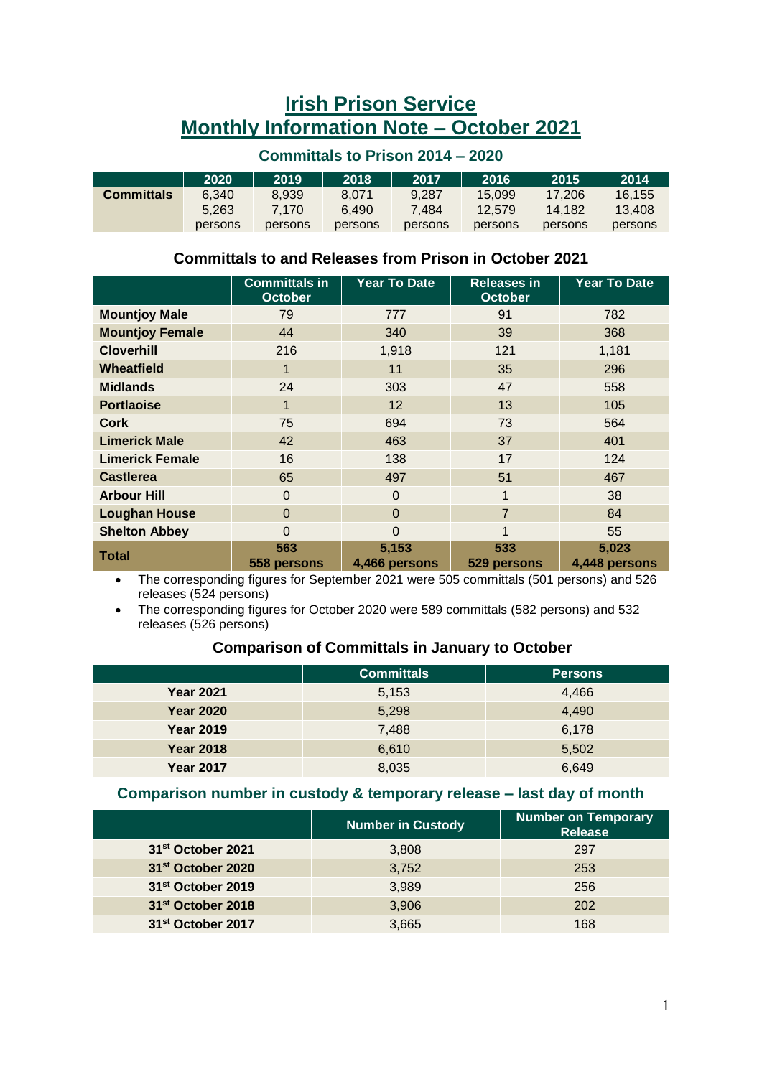# **Irish Prison Service Monthly Information Note – October 2021**

#### **Committals to Prison 2014 – 2020**

|                   | 2020    | 2019    | 2018    | 2017    | 2016    | 2015    | 2014    |
|-------------------|---------|---------|---------|---------|---------|---------|---------|
| <b>Committals</b> | 6.340   | 8.939   | 8.071   | 9.287   | 15.099  | 17.206  | 16.155  |
|                   | 5.263   | 7.170   | 6.490   | 7.484   | 12.579  | 14.182  | 13.408  |
|                   | persons | persons | persons | persons | persons | persons | persons |

#### **Committals to and Releases from Prison in October 2021**

|                        | <b>Committals in</b><br><b>October</b> | <b>Year To Date</b>    | <b>Releases in</b><br><b>October</b> | <b>Year To Date</b>    |
|------------------------|----------------------------------------|------------------------|--------------------------------------|------------------------|
| <b>Mountjoy Male</b>   | 79                                     | 777                    | 91                                   | 782                    |
| <b>Mountjoy Female</b> | 44                                     | 340                    | 39                                   | 368                    |
| <b>Cloverhill</b>      | 216                                    | 1,918                  | 121                                  | 1,181                  |
| Wheatfield             | 1                                      | 11                     | 35                                   | 296                    |
| <b>Midlands</b>        | 24                                     | 303                    | 47                                   | 558                    |
| <b>Portlaoise</b>      | $\mathbf 1$                            | 12                     | 13                                   | 105                    |
| Cork                   | 75                                     | 694                    | 73                                   | 564                    |
| <b>Limerick Male</b>   | 42                                     | 463                    | 37                                   | 401                    |
| <b>Limerick Female</b> | 16                                     | 138                    | 17                                   | 124                    |
| <b>Castlerea</b>       | 65                                     | 497                    | 51                                   | 467                    |
| <b>Arbour Hill</b>     | $\Omega$                               | $\Omega$               | 1                                    | 38                     |
| <b>Loughan House</b>   | $\Omega$                               | $\Omega$               | $\overline{7}$                       | 84                     |
| <b>Shelton Abbey</b>   | 0                                      | $\Omega$               | 1                                    | 55                     |
| Total                  | 563<br>558 persons                     | 5,153<br>4,466 persons | 533<br>529 persons                   | 5,023<br>4,448 persons |

 The corresponding figures for September 2021 were 505 committals (501 persons) and 526 releases (524 persons)

 The corresponding figures for October 2020 were 589 committals (582 persons) and 532 releases (526 persons)

#### **Comparison of Committals in January to October**

|                  | <b>Committals</b> | <b>Persons</b> |
|------------------|-------------------|----------------|
| <b>Year 2021</b> | 5,153             | 4,466          |
| <b>Year 2020</b> | 5,298             | 4,490          |
| <b>Year 2019</b> | 7,488             | 6,178          |
| <b>Year 2018</b> | 6,610             | 5,502          |
| <b>Year 2017</b> | 8,035             | 6,649          |

#### **Comparison number in custody & temporary release – last day of month**

|                               | <b>Number in Custody</b> | <b>Number on Temporary</b><br><b>Release</b> |
|-------------------------------|--------------------------|----------------------------------------------|
| 31 <sup>st</sup> October 2021 | 3,808                    | 297                                          |
| 31 <sup>st</sup> October 2020 | 3,752                    | 253                                          |
| 31 <sup>st</sup> October 2019 | 3,989                    | 256                                          |
| 31 <sup>st</sup> October 2018 | 3,906                    | 202                                          |
| 31 <sup>st</sup> October 2017 | 3,665                    | 168                                          |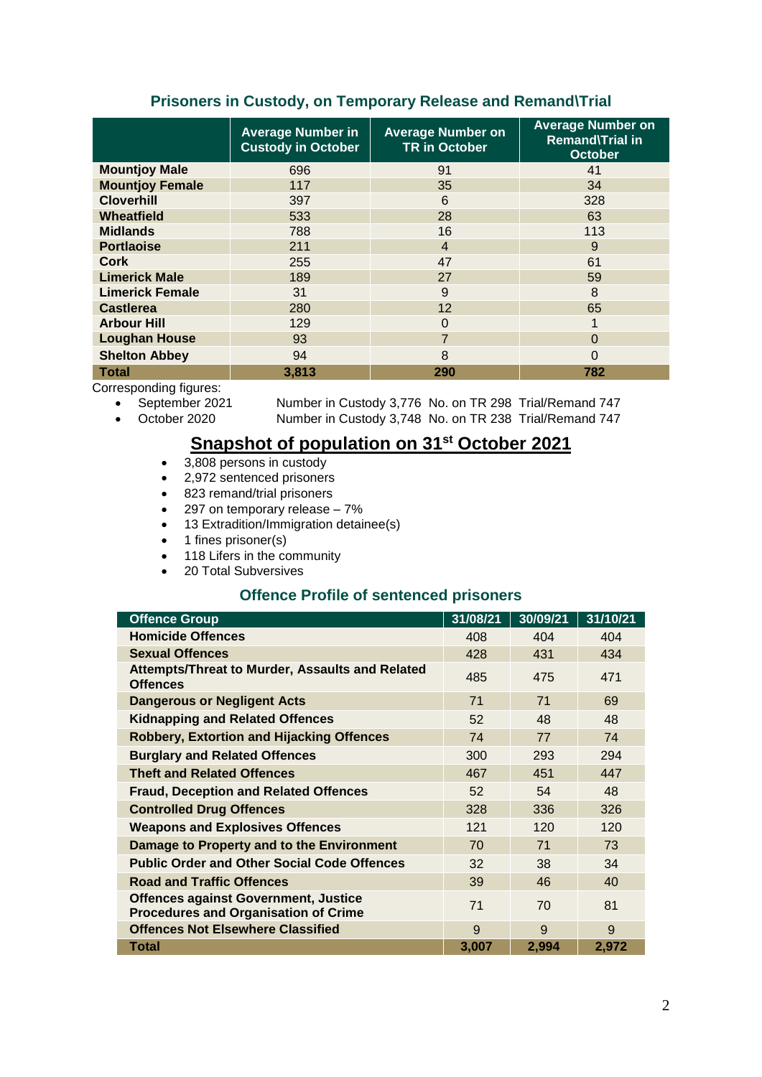### **Prisoners in Custody, on Temporary Release and Remand\Trial**

|                        | <b>Average Number in</b><br><b>Custody in October</b> | <b>Average Number on</b><br><b>TR in October</b> | <b>Average Number on</b><br><b>Remand\Trial in</b><br><b>October</b> |
|------------------------|-------------------------------------------------------|--------------------------------------------------|----------------------------------------------------------------------|
| <b>Mountjoy Male</b>   | 696                                                   | 91                                               | 41                                                                   |
| <b>Mountjoy Female</b> | 117                                                   | 35                                               | 34                                                                   |
| <b>Cloverhill</b>      | 397                                                   | 6                                                | 328                                                                  |
| Wheatfield             | 533                                                   | 28                                               | 63                                                                   |
| <b>Midlands</b>        | 788                                                   | 16                                               | 113                                                                  |
| <b>Portlaoise</b>      | 211                                                   | $\overline{4}$                                   | 9                                                                    |
| <b>Cork</b>            | 255                                                   | 47                                               | 61                                                                   |
| <b>Limerick Male</b>   | 189                                                   | 27                                               | 59                                                                   |
| <b>Limerick Female</b> | 31                                                    | 9                                                | 8                                                                    |
| <b>Castlerea</b>       | 280                                                   | 12                                               | 65                                                                   |
| <b>Arbour Hill</b>     | 129                                                   | $\Omega$                                         |                                                                      |
| <b>Loughan House</b>   | 93                                                    | $\overline{7}$                                   | 0                                                                    |
| <b>Shelton Abbey</b>   | 94                                                    | 8                                                | ი                                                                    |
| <b>Total</b>           | 3,813                                                 | 290                                              | 782                                                                  |

Corresponding figures:

- -

• September 2021 Number in Custody 3,776 No. on TR 298 Trial/Remand 747<br>• October 2020 Number in Custody 3,748 No. on TR 238 Trial/Remand 747 Number in Custody 3,748 No. on TR 238 Trial/Remand 747

# **Snapshot of population on 31<sup>st</sup> October 2021**

- 3,808 persons in custody
- 2,972 sentenced prisoners
- 823 remand/trial prisoners
- $\bullet$  297 on temporary release  $-7\%$
- 13 Extradition/Immigration detainee(s)
- 1 fines prisoner(s)
- $\bullet$  118 Lifers in the community
- 20 Total Subversives

## **Offence Profile of sentenced prisoners**

| <b>Offence Group</b>                                                                       | 31/08/21 | 30/09/21 | 31/10/21 |
|--------------------------------------------------------------------------------------------|----------|----------|----------|
| <b>Homicide Offences</b>                                                                   | 408      | 404      | 404      |
| <b>Sexual Offences</b>                                                                     | 428      | 431      | 434      |
| <b>Attempts/Threat to Murder, Assaults and Related</b><br><b>Offences</b>                  | 485      | 475      | 471      |
| <b>Dangerous or Negligent Acts</b>                                                         | 71       | 71       | 69       |
| <b>Kidnapping and Related Offences</b>                                                     | 52       | 48       | 48       |
| <b>Robbery, Extortion and Hijacking Offences</b>                                           | 74       | 77       | 74       |
| <b>Burglary and Related Offences</b>                                                       | 300      | 293      | 294      |
| <b>Theft and Related Offences</b>                                                          | 467      | 451      | 447      |
| <b>Fraud, Deception and Related Offences</b>                                               | 52       | 54       | 48       |
| <b>Controlled Drug Offences</b>                                                            | 328      | 336      | 326      |
| <b>Weapons and Explosives Offences</b>                                                     | 121      | 120      | 120      |
| Damage to Property and to the Environment                                                  | 70       | 71       | 73       |
| <b>Public Order and Other Social Code Offences</b>                                         | 32       | 38       | 34       |
| <b>Road and Traffic Offences</b>                                                           | 39       | 46       | 40       |
| <b>Offences against Government, Justice</b><br><b>Procedures and Organisation of Crime</b> | 71       | 70       | 81       |
| <b>Offences Not Elsewhere Classified</b>                                                   | 9        | 9        | 9        |
| Total                                                                                      | 3,007    | 2,994    | 2,972    |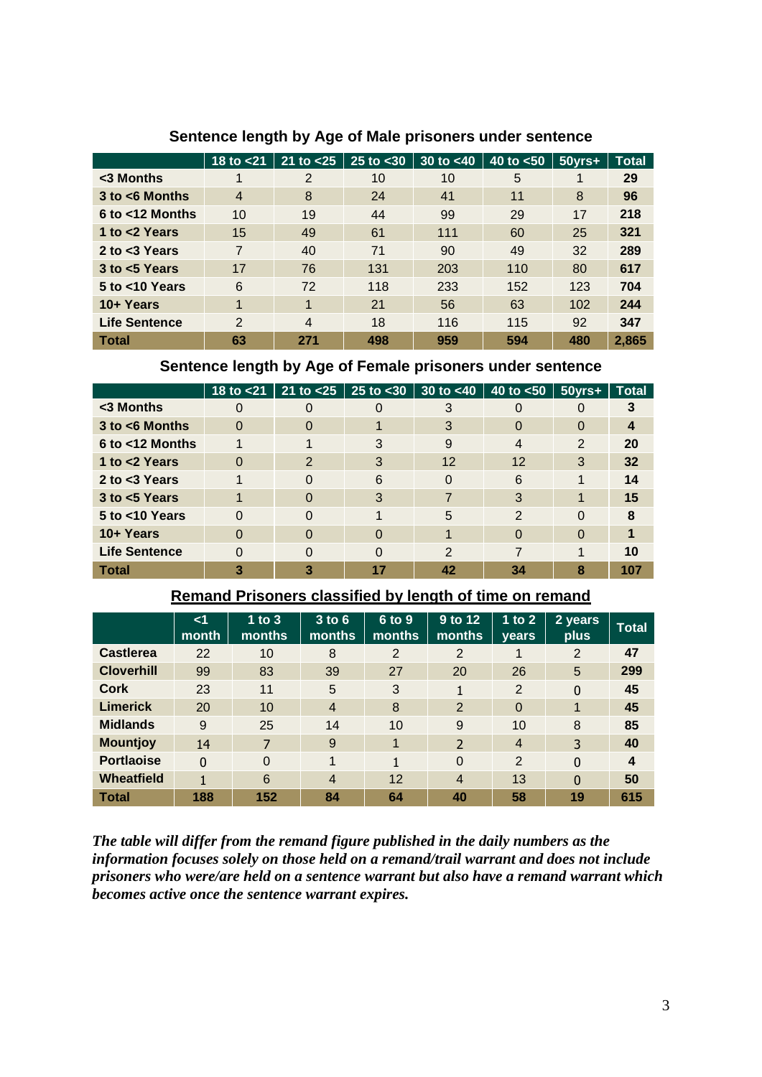|                      | 18 to $<$ 21   | 21 to < 25     | $25$ to $30$ | 30 to $<$ 40 | 40 to $< 50$ | $50$ yrs $+$ | <b>Total</b> |
|----------------------|----------------|----------------|--------------|--------------|--------------|--------------|--------------|
| <3 Months            |                | 2              | 10           | 10           | 5            |              | 29           |
| $3$ to $<$ 6 Months  | $\overline{4}$ | 8              | 24           | 41           | 11           | 8            | 96           |
| $6$ to $<$ 12 Months | 10             | 19             | 44           | 99           | 29           | 17           | 218          |
| 1 to <2 Years        | 15             | 49             | 61           | 111          | 60           | 25           | 321          |
| 2 to $<$ 3 Years     | 7              | 40             | 71           | 90           | 49           | 32           | 289          |
| $3$ to $< 5$ Years   | 17             | 76             | 131          | 203          | 110          | 80           | 617          |
| $5$ to $<$ 10 Years  | 6              | 72             | 118          | 233          | 152          | 123          | 704          |
| 10+ Years            |                | 1              | 21           | 56           | 63           | 102          | 244          |
| <b>Life Sentence</b> | $\overline{2}$ | $\overline{4}$ | 18           | 116          | 115          | 92           | 347          |
| <b>Total</b>         | 63             | 271            | 498          | 959          | 594          | 480          | 2,865        |

## **Sentence length by Age of Male prisoners under sentence**

### **Sentence length by Age of Female prisoners under sentence**

|                      | 18 to $<$ 21 |          | 21 to $<$ 25   25 to $<$ 30 | 30 to $<$ 40  | 40 to $< 50$ | $50$ yrs $+$ | <b>Total</b> |
|----------------------|--------------|----------|-----------------------------|---------------|--------------|--------------|--------------|
| <3 Months            |              | 0        |                             |               |              |              |              |
| $3$ to $<$ 6 Months  | $\Omega$     | 0        |                             | 3             | 0            |              |              |
| 6 to <12 Months      |              |          | 3                           | 9             | 4            | 2            | 20           |
| 1 to <2 Years        |              | 2        | 3                           | 12            | 12           | 3            | 32           |
| 2 to $<$ 3 Years     |              | 0        | 6                           | 0             | 6            |              | 14           |
| $3$ to $< 5$ Years   |              | $\Omega$ | 3                           |               | 3            |              | 15           |
| 5 to <10 Years       | $\Omega$     | 0        |                             | 5             | 2            |              | 8            |
| 10+ Years            |              | 0        | O                           |               | $\Omega$     |              |              |
| <b>Life Sentence</b> |              | 0        | O                           | $\mathcal{P}$ | 7            |              | 10           |
| Total                |              |          |                             | 42            | 34           |              | 107          |

## **Remand Prisoners classified by length of time on remand**

|                   | <1<br>month  | $1$ to 3<br>months | $3$ to $6$<br>months | 6 to 9<br>months | $9$ to 12<br>months      | 1 to $2$<br><b>vears</b> | 2 years<br>plus | <b>Total</b> |
|-------------------|--------------|--------------------|----------------------|------------------|--------------------------|--------------------------|-----------------|--------------|
| <b>Castlerea</b>  | 22           | 10                 | 8                    | $\overline{2}$   | 2                        | 1                        | 2               | 47           |
| <b>Cloverhill</b> | 99           | 83                 | 39                   | 27               | 20                       | 26                       | 5               | 299          |
| Cork              | 23           | 11                 | 5                    | 3                |                          | 2                        | $\Omega$        | 45           |
| <b>Limerick</b>   | 20           | 10                 | $\overline{4}$       | 8                | $\overline{2}$           | $\Omega$                 | 1               | 45           |
| <b>Midlands</b>   | 9            | 25                 | 14                   | 10               | 9                        | 10                       | 8               | 85           |
| <b>Mountjoy</b>   | 14           | 7                  | 9                    | $\mathbf 1$      | $\overline{\phantom{0}}$ | $\overline{4}$           | 3               | 40           |
| <b>Portlaoise</b> | $\mathbf{0}$ | $\Omega$           | 1                    | 1                | $\Omega$                 | 2                        | 0               | 4            |
| <b>Wheatfield</b> | 1            | 6                  | $\overline{4}$       | 12               | $\overline{4}$           | 13                       | $\Omega$        | 50           |
| <b>Total</b>      | 188          | 152                | 84                   | 64               | 40                       | 58                       | 19              | 615          |

*The table will differ from the remand figure published in the daily numbers as the information focuses solely on those held on a remand/trail warrant and does not include prisoners who were/are held on a sentence warrant but also have a remand warrant which becomes active once the sentence warrant expires.*